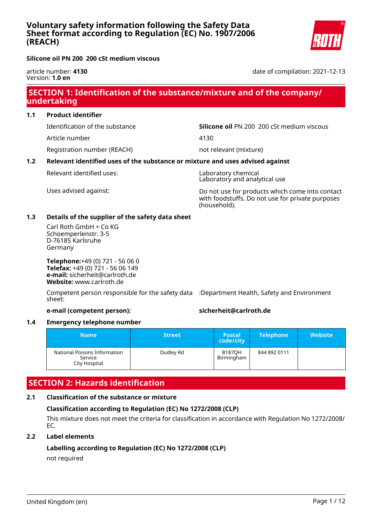date of compilation: 2021-12-13

**Silicone oil PN 200 200 cSt medium viscous**

article number: **4130** Version: **1.0 en**

## **SECTION 1: Identification of the substance/mixture and of the company/ undertaking**

**1.1 Product identifier**

Article number 4130

Registration number (REACH) not relevant (mixture)

Identification of the substance **Silicone oil** PN 200 200 cSt medium viscous

### **1.2 Relevant identified uses of the substance or mixture and uses advised against**

Relevant identified uses: Laboratory chemical

Laboratory and analytical use

Uses advised against: Do not use for products which come into contact with foodstuffs. Do not use for private purposes (household).

### **1.3 Details of the supplier of the safety data sheet**

Carl Roth GmbH + Co KG Schoemperlenstr. 3-5 D-76185 Karlsruhe Germany

**Telephone:**+49 (0) 721 - 56 06 0 **Telefax:** +49 (0) 721 - 56 06 149 **e-mail:** sicherheit@carlroth.de **Website:** www.carlroth.de

Competent person responsible for the safety data :Department Health, Safety and Environment sheet:

#### **e-mail (competent person): sicherheit@carlroth.de**

#### **1.4 Emergency telephone number**

| \Name\                                                   | <b>Street</b> | 'Postal،<br>code/city       | <b>Telephone</b> | <b>Website</b> |
|----------------------------------------------------------|---------------|-----------------------------|------------------|----------------|
| National Poisons Information<br>Service<br>City Hospital | Dudley Rd     | <b>B1870H</b><br>Birmingham | 844 892 0111     |                |

# **SECTION 2: Hazards identification**

### **2.1 Classification of the substance or mixture**

#### **Classification according to Regulation (EC) No 1272/2008 (CLP)**

This mixture does not meet the criteria for classification in accordance with Regulation No 1272/2008/ EC.

#### **2.2 Label elements**

### **Labelling according to Regulation (EC) No 1272/2008 (CLP)**

not required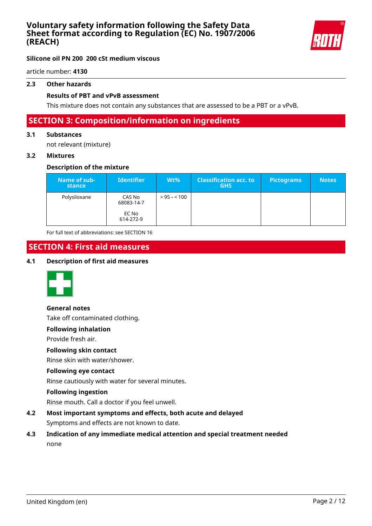

### **Silicone oil PN 200 200 cSt medium viscous**

article number: **4130**

#### **2.3 Other hazards**

#### **Results of PBT and vPvB assessment**

This mixture does not contain any substances that are assessed to be a PBT or a vPvB.

## **SECTION 3: Composition/information on ingredients**

#### **3.1 Substances**

not relevant (mixture)

#### **3.2 Mixtures**

#### **Description of the mixture**

| Name of sub-<br>stance | <b>Identifier</b>    | $Wt\%$       | <b>Classification acc. to</b><br><b>GHS</b> | <b>Pictograms</b> | <b>Notes</b> |
|------------------------|----------------------|--------------|---------------------------------------------|-------------------|--------------|
| Polysiloxane           | CAS No<br>68083-14-7 | $> 95 - 100$ |                                             |                   |              |
|                        | EC No<br>614-272-9   |              |                                             |                   |              |

For full text of abbreviations: see SECTION 16

# **SECTION 4: First aid measures**

#### **4.1 Description of first aid measures**



#### **General notes**

Take off contaminated clothing.

#### **Following inhalation**

Provide fresh air.

#### **Following skin contact**

Rinse skin with water/shower.

#### **Following eye contact**

Rinse cautiously with water for several minutes.

#### **Following ingestion**

Rinse mouth. Call a doctor if you feel unwell.

- **4.2 Most important symptoms and effects, both acute and delayed** Symptoms and effects are not known to date.
- **4.3 Indication of any immediate medical attention and special treatment needed** none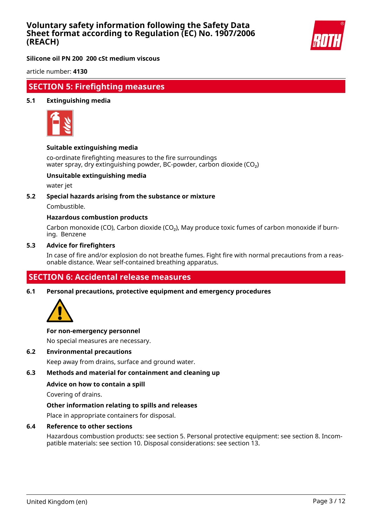

**Silicone oil PN 200 200 cSt medium viscous**

article number: **4130**

### **SECTION 5: Firefighting measures**

#### **5.1 Extinguishing media**



#### **Suitable extinguishing media**

co-ordinate firefighting measures to the fire surroundings water spray, dry extinguishing powder, BC-powder, carbon dioxide (CO<sub>2</sub>)

#### **Unsuitable extinguishing media**

water jet

#### **5.2 Special hazards arising from the substance or mixture**

Combustible.

#### **Hazardous combustion products**

Carbon monoxide (CO), Carbon dioxide (CO₂), May produce toxic fumes of carbon monoxide if burning. Benzene

#### **5.3 Advice for firefighters**

In case of fire and/or explosion do not breathe fumes. Fight fire with normal precautions from a reasonable distance. Wear self-contained breathing apparatus.

### **SECTION 6: Accidental release measures**

**6.1 Personal precautions, protective equipment and emergency procedures**



#### **For non-emergency personnel**

No special measures are necessary.

#### **6.2 Environmental precautions**

Keep away from drains, surface and ground water.

#### **6.3 Methods and material for containment and cleaning up**

#### **Advice on how to contain a spill**

Covering of drains.

#### **Other information relating to spills and releases**

Place in appropriate containers for disposal.

#### **6.4 Reference to other sections**

Hazardous combustion products: see section 5. Personal protective equipment: see section 8. Incompatible materials: see section 10. Disposal considerations: see section 13.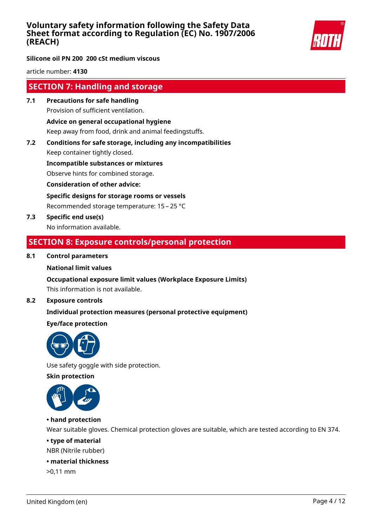

**Silicone oil PN 200 200 cSt medium viscous**

article number: **4130**

## **SECTION 7: Handling and storage**

**7.1 Precautions for safe handling** Provision of sufficient ventilation.

#### **Advice on general occupational hygiene**

Keep away from food, drink and animal feedingstuffs.

**7.2 Conditions for safe storage, including any incompatibilities**

Keep container tightly closed.

**Incompatible substances or mixtures**

Observe hints for combined storage.

**Consideration of other advice:**

**Specific designs for storage rooms or vessels**

Recommended storage temperature: 15 – 25 °C

**7.3 Specific end use(s)** No information available.

### **SECTION 8: Exposure controls/personal protection**

#### **8.1 Control parameters**

#### **National limit values**

#### **Occupational exposure limit values (Workplace Exposure Limits)**

This information is not available.

#### **8.2 Exposure controls**

#### **Individual protection measures (personal protective equipment)**

#### **Eye/face protection**



Use safety goggle with side protection.

#### **Skin protection**



#### **• hand protection**

Wear suitable gloves. Chemical protection gloves are suitable, which are tested according to EN 374.

#### **• type of material**

NBR (Nitrile rubber)

#### **• material thickness**

>0,11 mm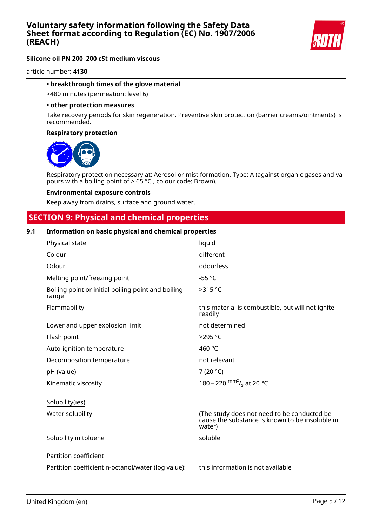

### **Silicone oil PN 200 200 cSt medium viscous**

article number: **4130**

#### **• breakthrough times of the glove material**

>480 minutes (permeation: level 6)

#### **• other protection measures**

Take recovery periods for skin regeneration. Preventive skin protection (barrier creams/ointments) is recommended.

#### **Respiratory protection**



Respiratory protection necessary at: Aerosol or mist formation. Type: A (against organic gases and vapours with a boiling point of > 65 °C , colour code: Brown).

#### **Environmental exposure controls**

Keep away from drains, surface and ground water.

#### **SECTION 9: Physical and chemical properties**

#### **9.1 Information on basic physical and chemical properties**

| Physical state                                                              | liquid                                                                                                    |
|-----------------------------------------------------------------------------|-----------------------------------------------------------------------------------------------------------|
| Colour                                                                      | different                                                                                                 |
| Odour                                                                       | odourless                                                                                                 |
| Melting point/freezing point                                                | $-55 °C$                                                                                                  |
| Boiling point or initial boiling point and boiling<br>range                 | >315 °C                                                                                                   |
| Flammability                                                                | this material is combustible, but will not ignite<br>readily                                              |
| Lower and upper explosion limit                                             | not determined                                                                                            |
| Flash point                                                                 | >295 °C                                                                                                   |
| Auto-ignition temperature                                                   | 460 °C                                                                                                    |
| Decomposition temperature                                                   | not relevant                                                                                              |
| pH (value)                                                                  | 7 (20 $^{\circ}$ C)                                                                                       |
| Kinematic viscosity                                                         | 180 – 220 $\text{mm}^2$ / <sub>s</sub> at 20 °C                                                           |
| Solubility(ies)                                                             |                                                                                                           |
| Water solubility                                                            | (The study does not need to be conducted be-<br>cause the substance is known to be insoluble in<br>water) |
| Solubility in toluene                                                       | soluble                                                                                                   |
| Partition coefficient<br>Partition coefficient n-octanol/water (log value): | this information is not available                                                                         |
|                                                                             |                                                                                                           |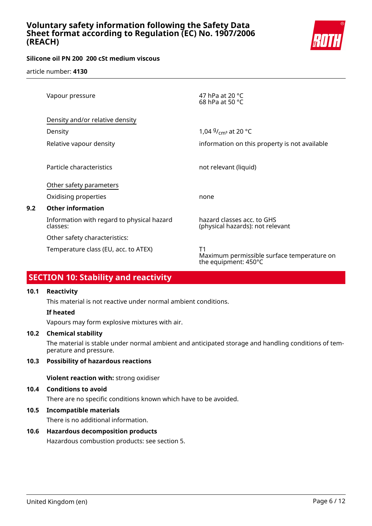

### **Silicone oil PN 200 200 cSt medium viscous**

article number: **4130**

| Vapour pressure                                        | 47 hPa at 20 $^{\circ}$ C<br>68 hPa at 50 $^{\circ}$ C                   |
|--------------------------------------------------------|--------------------------------------------------------------------------|
| Density and/or relative density                        |                                                                          |
| Density                                                | 1,04 $9/$ <sub>cm</sub> at 20 °C                                         |
| Relative vapour density                                | information on this property is not available                            |
| Particle characteristics                               | not relevant (liquid)                                                    |
| Other safety parameters                                |                                                                          |
| Oxidising properties                                   | none                                                                     |
| <b>Other information</b>                               |                                                                          |
| Information with regard to physical hazard<br>classes: | hazard classes acc. to GHS<br>(physical hazards): not relevant           |
| Other safety characteristics:                          |                                                                          |
| Temperature class (EU, acc. to ATEX)                   | T1<br>Maximum permissible surface temperature on<br>the equipment: 450°C |

# **SECTION 10: Stability and reactivity**

#### **10.1 Reactivity**

**9.2 Other information**

This material is not reactive under normal ambient conditions.

#### **If heated**

Vapours may form explosive mixtures with air.

#### **10.2 Chemical stability**

The material is stable under normal ambient and anticipated storage and handling conditions of temperature and pressure.

#### **10.3 Possibility of hazardous reactions**

**Violent reaction with:** strong oxidiser

#### **10.4 Conditions to avoid**

There are no specific conditions known which have to be avoided.

#### **10.5 Incompatible materials**

There is no additional information.

#### **10.6 Hazardous decomposition products**

Hazardous combustion products: see section 5.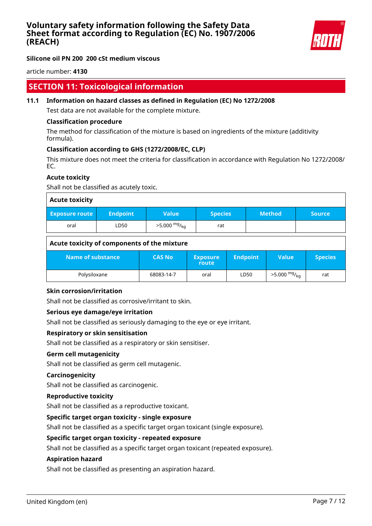

#### **Silicone oil PN 200 200 cSt medium viscous**

article number: **4130**

### **SECTION 11: Toxicological information**

#### **11.1 Information on hazard classes as defined in Regulation (EC) No 1272/2008**

Test data are not available for the complete mixture.

#### **Classification procedure**

The method for classification of the mixture is based on ingredients of the mixture (additivity formula).

#### **Classification according to GHS (1272/2008/EC, CLP)**

This mixture does not meet the criteria for classification in accordance with Regulation No 1272/2008/ EC.

#### **Acute toxicity**

Shall not be classified as acutely toxic.

| <b>Acute toxicity</b> |                 |                            |                |               |               |
|-----------------------|-----------------|----------------------------|----------------|---------------|---------------|
| <b>Exposure route</b> | <b>Endpoint</b> | <b>Value</b>               | <b>Species</b> | <b>Method</b> | <b>Source</b> |
| oral                  | LD50            | $>5.000$ mg/ <sub>kg</sub> | rat            |               |               |

#### **Acute toxicity of components of the mixture**

| Name of substance | <b>CAS No</b> | <b>Exposure</b><br>route | <b>Endpoint</b> ' | Value                  | <b>Species</b> |
|-------------------|---------------|--------------------------|-------------------|------------------------|----------------|
| Polysiloxane      | 68083-14-7    | oral                     | LD50              | $>5.000 \frac{mg}{kg}$ | rat            |

#### **Skin corrosion/irritation**

Shall not be classified as corrosive/irritant to skin.

#### **Serious eye damage/eye irritation**

Shall not be classified as seriously damaging to the eye or eye irritant.

#### **Respiratory or skin sensitisation**

Shall not be classified as a respiratory or skin sensitiser.

#### **Germ cell mutagenicity**

Shall not be classified as germ cell mutagenic.

#### **Carcinogenicity**

Shall not be classified as carcinogenic.

#### **Reproductive toxicity**

Shall not be classified as a reproductive toxicant.

#### **Specific target organ toxicity - single exposure**

Shall not be classified as a specific target organ toxicant (single exposure).

#### **Specific target organ toxicity - repeated exposure**

Shall not be classified as a specific target organ toxicant (repeated exposure).

#### **Aspiration hazard**

Shall not be classified as presenting an aspiration hazard.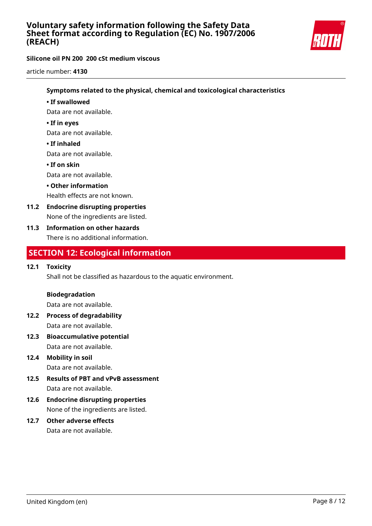

### **Silicone oil PN 200 200 cSt medium viscous**

article number: **4130**

#### **Symptoms related to the physical, chemical and toxicological characteristics**

#### **• If swallowed**

Data are not available.

#### **• If in eyes**

Data are not available.

#### **• If inhaled**

Data are not available.

#### **• If on skin**

Data are not available.

#### **• Other information**

Health effects are not known.

**11.2 Endocrine disrupting properties** None of the ingredients are listed.

### **11.3 Information on other hazards**

There is no additional information.

### **SECTION 12: Ecological information**

#### **12.1 Toxicity**

Shall not be classified as hazardous to the aquatic environment.

#### **Biodegradation**

Data are not available.

- **12.2 Process of degradability** Data are not available.
- **12.3 Bioaccumulative potential** Data are not available.
- **12.4 Mobility in soil** Data are not available.
- **12.5 Results of PBT and vPvB assessment** Data are not available.
- **12.6 Endocrine disrupting properties** None of the ingredients are listed.
- **12.7 Other adverse effects** Data are not available.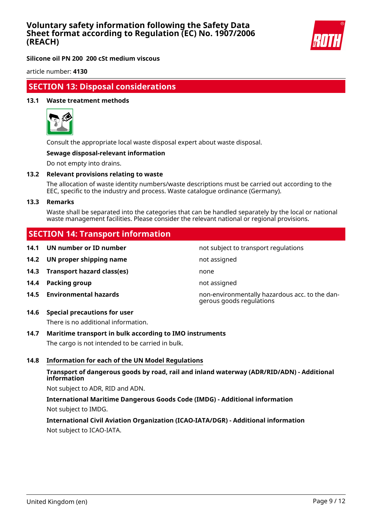

**Silicone oil PN 200 200 cSt medium viscous**

article number: **4130**

### **SECTION 13: Disposal considerations**

#### **13.1 Waste treatment methods**



Consult the appropriate local waste disposal expert about waste disposal.

#### **Sewage disposal-relevant information**

Do not empty into drains.

#### **13.2 Relevant provisions relating to waste**

The allocation of waste identity numbers/waste descriptions must be carried out according to the EEC, specific to the industry and process. Waste catalogue ordinance (Germany).

#### **13.3 Remarks**

Waste shall be separated into the categories that can be handled separately by the local or national waste management facilities. Please consider the relevant national or regional provisions.

**14.1 UN number or ID number** not subject to transport regulations

gerous goods regulations

### **SECTION 14: Transport information**

**14.2 UN proper shipping name** not assigned

- **14.3 Transport hazard class(es)** none
- **14.4 Packing group not assigned**
- **14.5 Environmental hazards** non-environmentally hazardous acc. to the dan-
- **14.6 Special precautions for user**

There is no additional information.

#### **14.7 Maritime transport in bulk according to IMO instruments**

The cargo is not intended to be carried in bulk.

#### **14.8 Information for each of the UN Model Regulations**

#### **Transport of dangerous goods by road, rail and inland waterway (ADR/RID/ADN) - Additional information**

Not subject to ADR, RID and ADN.

### **International Maritime Dangerous Goods Code (IMDG) - Additional information** Not subject to IMDG.

### **International Civil Aviation Organization (ICAO-IATA/DGR) - Additional information** Not subject to ICAO-IATA.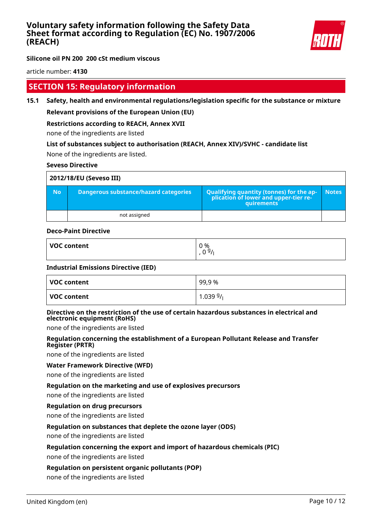

**Silicone oil PN 200 200 cSt medium viscous**

article number: **4130**

## **SECTION 15: Regulatory information**

**15.1 Safety, health and environmental regulations/legislation specific for the substance or mixture**

### **Relevant provisions of the European Union (EU)**

### **Restrictions according to REACH, Annex XVII**

none of the ingredients are listed

# **List of substances subject to authorisation (REACH, Annex XIV)/SVHC - candidate list**

None of the ingredients are listed.

#### **Seveso Directive**

| 2012/18/EU (Seveso III) |                                       |                                                                                                        |              |
|-------------------------|---------------------------------------|--------------------------------------------------------------------------------------------------------|--------------|
| <b>No</b>               | Dangerous substance/hazard categories | <b>Qualifying quantity (tonnes) for the ap-</b><br>plication of lower and upper-tier re-<br>quirements | <b>Notes</b> |
|                         | not assigned                          |                                                                                                        |              |

#### **Deco-Paint Directive**

| <b>VOC content</b> | 0 %    |
|--------------------|--------|
|                    | ت<br>ັ |

#### **Industrial Emissions Directive (IED)**

| VOC content | 99,9%       |
|-------------|-------------|
| VOC content | $1.03999$ / |

#### **Directive on the restriction of the use of certain hazardous substances in electrical and electronic equipment (RoHS)**

none of the ingredients are listed

#### **Regulation concerning the establishment of a European Pollutant Release and Transfer Register (PRTR)**

none of the ingredients are listed

#### **Water Framework Directive (WFD)**

none of the ingredients are listed

#### **Regulation on the marketing and use of explosives precursors**

none of the ingredients are listed

#### **Regulation on drug precursors**

none of the ingredients are listed

#### **Regulation on substances that deplete the ozone layer (ODS)**

none of the ingredients are listed

#### **Regulation concerning the export and import of hazardous chemicals (PIC)**

none of the ingredients are listed

#### **Regulation on persistent organic pollutants (POP)**

none of the ingredients are listed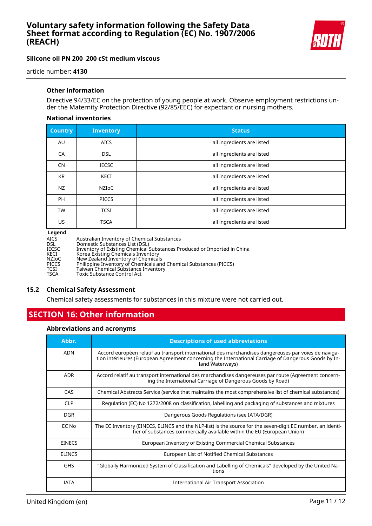

#### **Silicone oil PN 200 200 cSt medium viscous**

article number: **4130**

#### **Other information**

Directive 94/33/EC on the protection of young people at work. Observe employment restrictions under the Maternity Protection Directive (92/85/EEC) for expectant or nursing mothers.

#### **National inventories**

| <b>Country</b> | <b>Inventory</b> | <b>Status</b>              |
|----------------|------------------|----------------------------|
| AU             | <b>AICS</b>      | all ingredients are listed |
| CA             | <b>DSL</b>       | all ingredients are listed |
| <b>CN</b>      | <b>IECSC</b>     | all ingredients are listed |
| <b>KR</b>      | KECI             | all ingredients are listed |
| NZ             | <b>NZIOC</b>     | all ingredients are listed |
| <b>PH</b>      | <b>PICCS</b>     | all ingredients are listed |
| <b>TW</b>      | <b>TCSI</b>      | all ingredients are listed |
| US.            | <b>TSCA</b>      | all ingredients are listed |

#### **Legend**

| AICS  | Australian Inventory of Chemical Substances                             |
|-------|-------------------------------------------------------------------------|
| DSL   | Domestic Substances List (DSL)                                          |
| IECSC | Inventory of Existing Chemical Substances Produced or Imported in China |
| KECI  | Korea Existing Chemicals Inventory                                      |
| NZIoC | New Zealand Inventory of Chemicals                                      |
| PICCS | Philippine Inventory of Chemicals and Chemical Substances (PICCS)       |
| TCSI  | Taiwan Chemical Substance Inventory                                     |
| TSCA  | Toxic Substance Control Act                                             |
|       |                                                                         |

#### **15.2 Chemical Safety Assessment**

Chemical safety assessments for substances in this mixture were not carried out.

# **SECTION 16: Other information**

#### **Abbreviations and acronyms**

| Abbr.         | <b>Descriptions of used abbreviations</b>                                                                                                                                                                                       |
|---------------|---------------------------------------------------------------------------------------------------------------------------------------------------------------------------------------------------------------------------------|
| <b>ADN</b>    | Accord européen relatif au transport international des marchandises dangereuses par voies de naviga-<br>tion intérieures (European Agreement concerning the International Carriage of Dangerous Goods by In-<br>land Waterways) |
| <b>ADR</b>    | Accord relatif au transport international des marchandises dangereuses par route (Agreement concern-<br>ing the International Carriage of Dangerous Goods by Road)                                                              |
| CAS           | Chemical Abstracts Service (service that maintains the most comprehensive list of chemical substances)                                                                                                                          |
| <b>CLP</b>    | Regulation (EC) No 1272/2008 on classification, labelling and packaging of substances and mixtures                                                                                                                              |
| <b>DGR</b>    | Dangerous Goods Regulations (see IATA/DGR)                                                                                                                                                                                      |
| EC No         | The EC Inventory (EINECS, ELINCS and the NLP-list) is the source for the seven-digit EC number, an identi-<br>fier of substances commercially available within the EU (European Union)                                          |
| <b>EINECS</b> | European Inventory of Existing Commercial Chemical Substances                                                                                                                                                                   |
| <b>ELINCS</b> | European List of Notified Chemical Substances                                                                                                                                                                                   |
| <b>GHS</b>    | "Globally Harmonized System of Classification and Labelling of Chemicals" developed by the United Na-<br>tions                                                                                                                  |
| <b>IATA</b>   | International Air Transport Association                                                                                                                                                                                         |